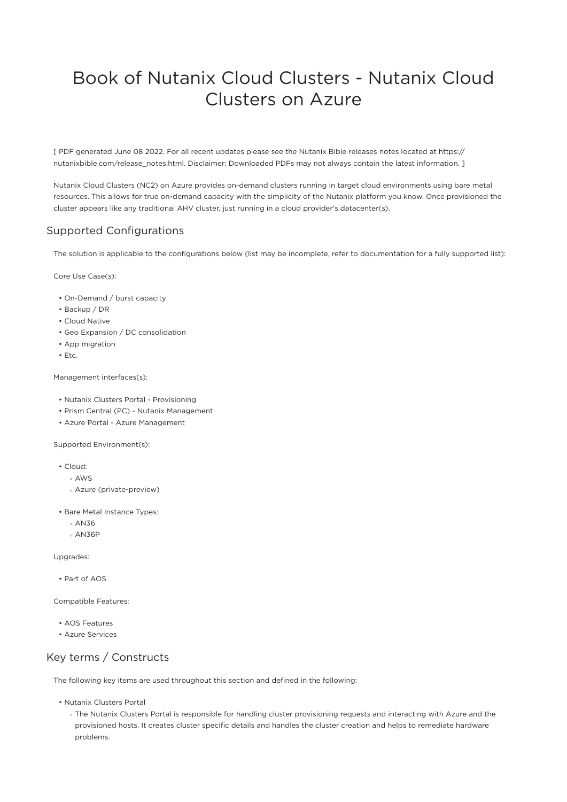# Book of Nutanix Cloud Clusters - Nutanix Cloud Clusters on Azure

[ PDF generated June 08 2022. For all recent updates please see the Nutanix Bible releases notes located at https:// nutanixbible.com/release\_notes.html. Disclaimer: Downloaded PDFs may not always contain the latest information. ]

Nutanix Cloud Clusters (NC2) on Azure provides on-demand clusters running in target cloud environments using bare metal resources. This allows for true on-demand capacity with the simplicity of the Nutanix platform you know. Once provisioned the cluster appears like any traditional AHV cluster, just running in a cloud provider's datacenter(s).

## Supported Configurations

The solution is applicable to the configurations below (list may be incomplete, refer to documentation for a fully supported list):

Core Use Case(s):

- On-Demand / burst capacity
- Backup / DR
- Cloud Native •
- Geo Expansion / DC consolidation
- App migration
- Etc. •

Management interfaces(s):

- Nutanix Clusters Portal Provisioning
- Prism Central (PC) Nutanix Management
- Azure Portal Azure Management

Supported Environment(s):

- Cloud:
	- AWS ◦
	- Azure (private-preview) ◦
- Bare Metal Instance Types:
	- ∘ AN36
	- ∘ AN36P

Upgrades:

• Part of AOS

Compatible Features:

- AOS Features •
- Azure Services •

## Key terms / Constructs

The following key items are used throughout this section and defined in the following:

• Nutanix Clusters Portal

◦ The Nutanix Clusters Portal is responsible for handling cluster provisioning requests and interacting with Azure and the provisioned hosts. It creates cluster specific details and handles the cluster creation and helps to remediate hardware problems.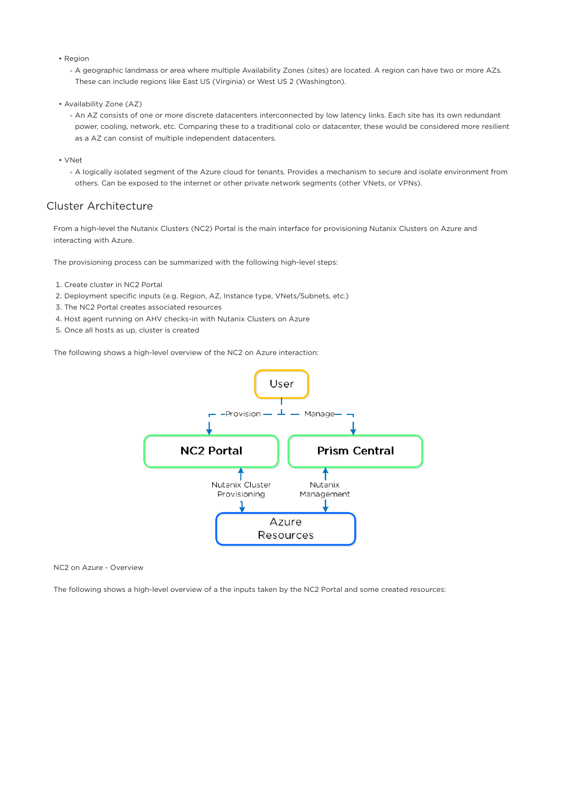- Region
	- A geographic landmass or area where multiple Availability Zones (sites) are located. A region can have two or more AZs. These can include regions like East US (Virginia) or West US 2 (Washington).
- Availability Zone (AZ)
	- An AZ consists of one or more discrete datacenters interconnected by low latency links. Each site has its own redundant power, cooling, network, etc. Comparing these to a traditional colo or datacenter, these would be considered more resilient as a AZ can consist of multiple independent datacenters.
- VNet
	- A logically isolated segment of the Azure cloud for tenants. Provides a mechanism to secure and isolate environment from others. Can be exposed to the internet or other private network segments (other VNets, or VPNs).

## Cluster Architecture

From a high-level the Nutanix Clusters (NC2) Portal is the main interface for provisioning Nutanix Clusters on Azure and interacting with Azure.

The provisioning process can be summarized with the following high-level steps:

- 1. Create cluster in NC2 Portal
- 2. Deployment specific inputs (e.g. Region, AZ, Instance type, VNets/Subnets, etc.)
- 3. The NC2 Portal creates associated resources
- 4. Host agent running on AHV checks-in with Nutanix Clusters on Azure
- 5. Once all hosts as up, cluster is created

The following shows a high-level overview of the NC2 on Azure interaction:



NC2 on Azure - Overview

The following shows a high-level overview of a the inputs taken by the NC2 Portal and some created resources: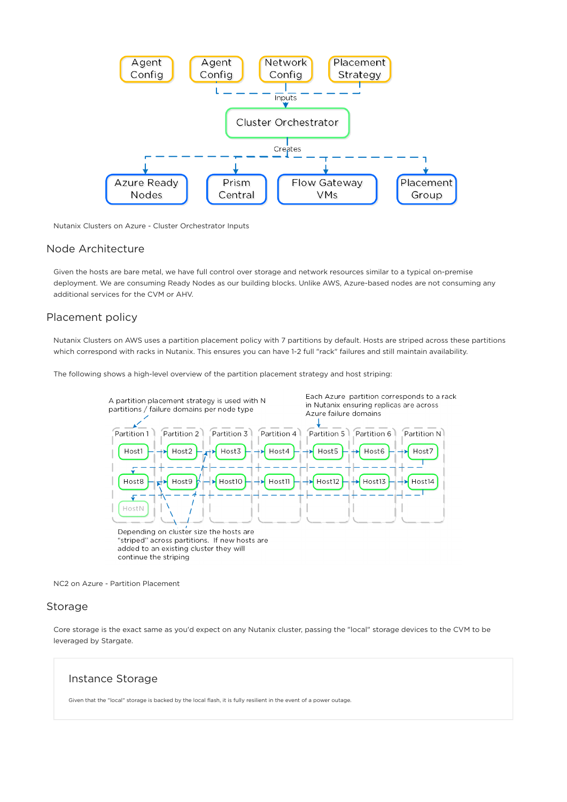

Nutanix Clusters on Azure - Cluster Orchestrator Inputs

## Node Architecture

Given the hosts are bare metal, we have full control over storage and network resources similar to a typical on-premise deployment. We are consuming Ready Nodes as our building blocks. Unlike AWS, Azure-based nodes are not consuming any additional services for the CVM or AHV.

#### Placement policy

Nutanix Clusters on AWS uses a partition placement policy with 7 partitions by default. Hosts are striped across these partitions which correspond with racks in Nutanix. This ensures you can have 1-2 full "rack" failures and still maintain availability.

The following shows a high-level overview of the partition placement strategy and host striping:



NC2 on Azure - Partition Placement

### Storage

Core storage is the exact same as you'd expect on any Nutanix cluster, passing the "local" storage devices to the CVM to be leveraged by Stargate.

#### Instance Storage

Given that the "local" storage is backed by the local flash, it is fully resilient in the event of a power outage.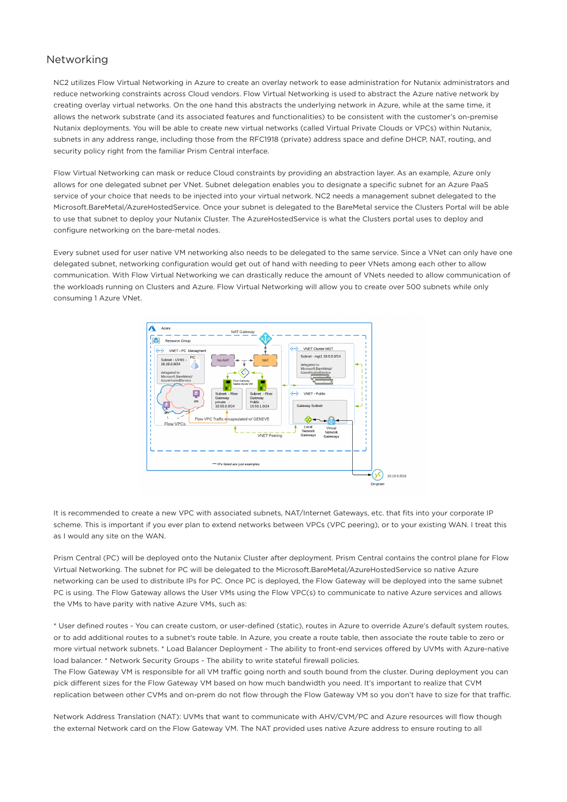## Networking

NC2 utilizes Flow Virtual Networking in Azure to create an overlay network to ease administration for Nutanix administrators and reduce networking constraints across Cloud vendors. Flow Virtual Networking is used to abstract the Azure native network by creating overlay virtual networks. On the one hand this abstracts the underlying network in Azure, while at the same time, it allows the network substrate (and its associated features and functionalities) to be consistent with the customer's on-premise Nutanix deployments. You will be able to create new virtual networks (called Virtual Private Clouds or VPCs) within Nutanix, subnets in any address range, including those from the RFC1918 (private) address space and define DHCP, NAT, routing, and security policy right from the familiar Prism Central interface.

Flow Virtual Networking can mask or reduce Cloud constraints by providing an abstraction layer. As an example, Azure only allows for one delegated subnet per VNet. Subnet delegation enables you to designate a specific subnet for an Azure PaaS service of your choice that needs to be injected into your virtual network. NC2 needs a management subnet delegated to the Microsoft.BareMetal/AzureHostedService. Once your subnet is delegated to the BareMetal service the Clusters Portal will be able to use that subnet to deploy your Nutanix Cluster. The AzureHostedService is what the Clusters portal uses to deploy and configure networking on the bare-metal nodes.

Every subnet used for user native VM networking also needs to be delegated to the same service. Since a VNet can only have one delegated subnet, networking configuration would get out of hand with needing to peer VNets among each other to allow communication. With Flow Virtual Networking we can drastically reduce the amount of VNets needed to allow communication of the workloads running on Clusters and Azure. Flow Virtual Networking will allow you to create over 500 subnets while only consuming 1 Azure VNet.



It is recommended to create a new VPC with associated subnets, NAT/Internet Gateways, etc. that fits into your corporate IP scheme. This is important if you ever plan to extend networks between VPCs (VPC peering), or to your existing WAN. I treat this as I would any site on the WAN.

Prism Central (PC) will be deployed onto the Nutanix Cluster after deployment. Prism Central contains the control plane for Flow Virtual Networking. The subnet for PC will be delegated to the Microsoft.BareMetal/AzureHostedService so native Azure networking can be used to distribute IPs for PC. Once PC is deployed, the Flow Gateway will be deployed into the same subnet PC is using. The Flow Gateway allows the User VMs using the Flow VPC(s) to communicate to native Azure services and allows the VMs to have parity with native Azure VMs, such as:

\* User defined routes - You can create custom, or user-defined (static), routes in Azure to override Azure's default system routes, or to add additional routes to a subnet's route table. In Azure, you create a route table, then associate the route table to zero or more virtual network subnets. \* Load Balancer Deployment - The ability to front-end services offered by UVMs with Azure-native load balancer. \* Network Security Groups - The ability to write stateful firewall policies.

The Flow Gateway VM is responsible for all VM traffic going north and south bound from the cluster. During deployment you can pick different sizes for the Flow Gateway VM based on how much bandwidth you need. It's important to realize that CVM replication between other CVMs and on-prem do not flow through the Flow Gateway VM so you don't have to size for that traffic.

Network Address Translation (NAT): UVMs that want to communicate with AHV/CVM/PC and Azure resources will flow though the external Network card on the Flow Gateway VM. The NAT provided uses native Azure address to ensure routing to all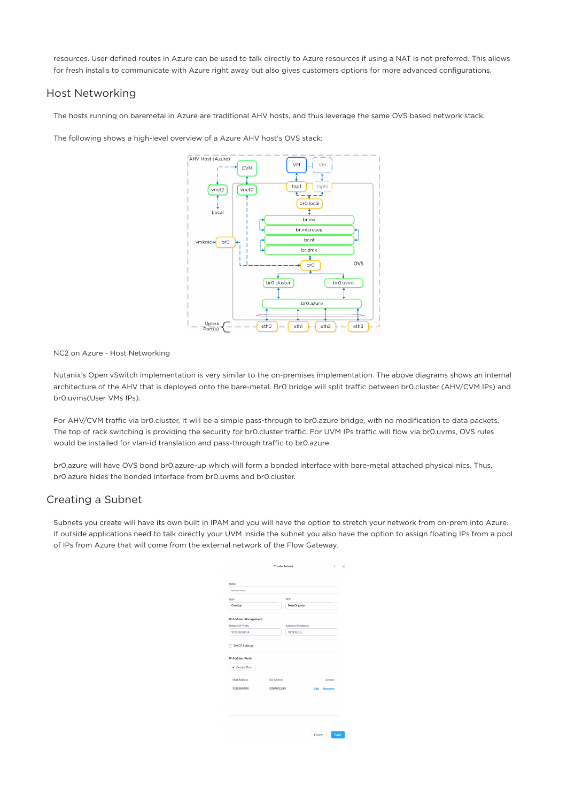resources. User defined routes in Azure can be used to talk directly to Azure resources if using a NAT is not preferred. This allows for fresh installs to communicate with Azure right away but also gives customers options for more advanced configurations.

## Host Networking

The hosts running on baremetal in Azure are traditional AHV hosts, and thus leverage the same OVS based network stack.

The following shows a high-level overview of a Azure AHV host's OVS stack:



NC2 on Azure - Host Networking

Nutanix's Open vSwitch implementation is very similar to the on-premises implementation. The above diagrams shows an internal architecture of the AHV that is deployed onto the bare-metal. Br0 bridge will split traffic between br0.cluster (AHV/CVM IPs) and br0.uvms(User VMs IPs).

For AHV/CVM traffic via br0.cluster, it will be a simple pass-through to br0.azure bridge, with no modification to data packets. The top of rack switching is providing the security for br0.cluster traffic. For UVM IPs traffic will flow via br0.uvms, OVS rules would be installed for vlan-id translation and pass-through traffic to br0.azure.

br0.azure will have OVS bond br0.azure-up which will form a bonded interface with bare-metal attached physical nics. Thus, br0.azure hides the bonded interface from br0.uvms and br0.cluster.

## Creating a Subnet

Subnets you create will have its own built in IPAM and you will have the option to stretch your network from on-prem into Azure. If outside applications need to talk directly your UVM inside the subnet you also have the option to assign floating IPs from a pool of IPs from Azure that will come from the external network of the Flow Gateway.

|                         |                    | Create Subnet      | $P$ $\times$   |
|-------------------------|--------------------|--------------------|----------------|
| Namo                    |                    |                    |                |
| server-web              |                    |                    |                |
| Type                    |                    | VPC                |                |
| Overlay                 | ÷                  | NewOnprem          | ¢              |
| IP Address Management   |                    |                    |                |
| Network IP Prefix       |                    | Gateway IP Address |                |
| 10.19.160.0/24          |                    | 10.19.160.5        |                |
| DHCP Settings           |                    |                    |                |
| <b>IP Address Pools</b> |                    |                    |                |
| + Create Pool           |                    |                    |                |
| <b>Start Address</b>    | <b>End Address</b> |                    | Actions        |
| 10.19.160.100           | 1019160.240        |                    | Fdit<br>Remove |
|                         |                    |                    |                |
|                         |                    |                    |                |
|                         |                    |                    |                |
|                         |                    |                    |                |
|                         |                    |                    |                |